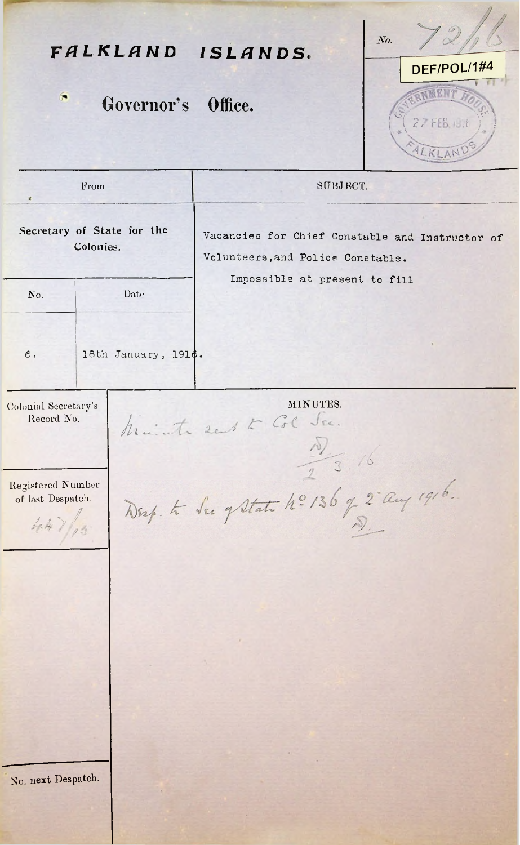*No. FALKLAND ISLANDS.* DEF/P0L/1#4 **NEEN7** 'n Governor's Office. 2.7 FEB. (91) LKLAN From SUBJ ECT. **Secretary of State for the** Vacancies for Chief Constable and Instructor of **Colonies.** Volunteers,and Police Constable. Impossible at present to fill No. Date **<sup>6</sup>** 18th January, **1916.** MINUTES. Colonial Secretary's Record No. Mainte sent to Col  $\frac{10}{7}$  3.16 Drep. to See of State 4: 136 q 2 aug 1916. Registered Number of last Despatch. /  $44$  ) / 3 No. next Despatch.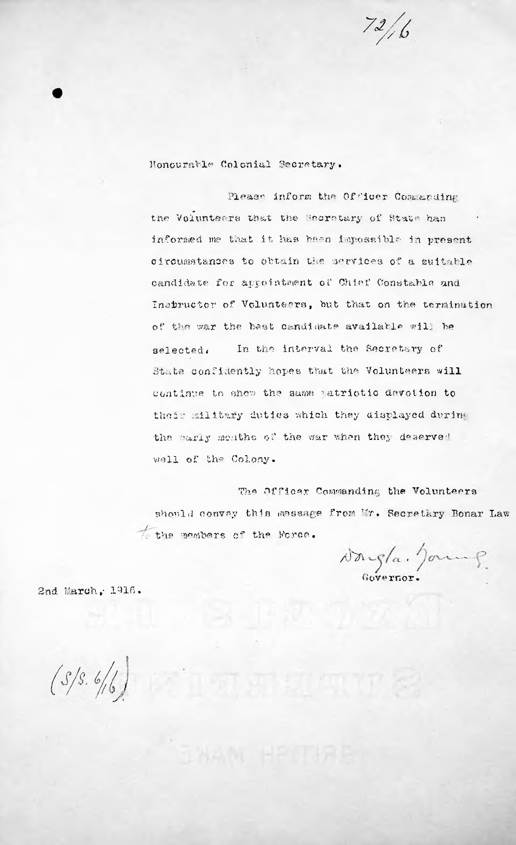$72/6$ 

Honcurable Colonial Secretary.

Please inform the Officer Commanding the Volunteers that the Becretary of State has informed me that it has been impossible in present circumstances to obtain the services of a suitable candidate for appointment of Chief Constable and Instructor of Volunteers, hut that on the termination of the war the best candidate availatle will be In the interval the Secretary of State confidently hopes that the Volunteers will continue to shew the same patriotic devotion to their military duties which they displayed during the early meathe of the war when they deserved well of the Colony. selected *t*

The Officer Commanding the Volunteers should convey this message from Mr. Secretary Bonar Law h- the members c\* the Perce.

"山杭州 頭 (切口) を

a)> *1* Governor. *t*

2nd March, 1916.

 $(S/S. 6/6)$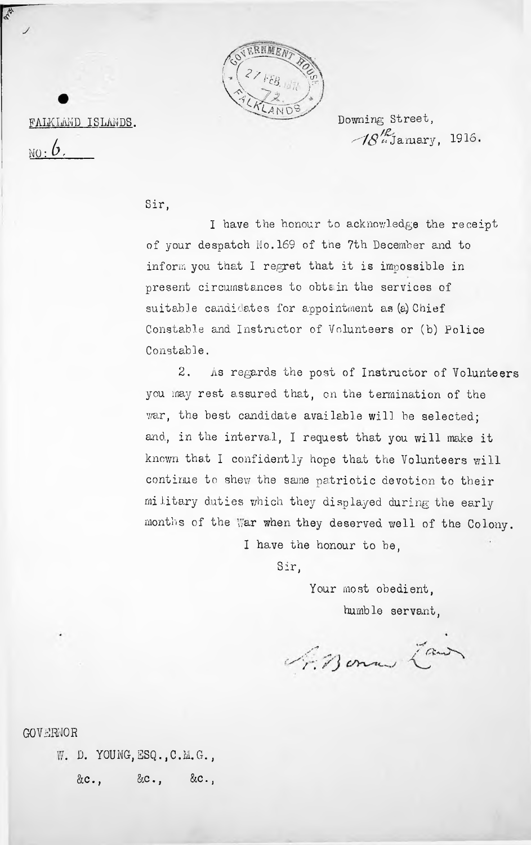

FALKLAND ISLANDS.

**NO: 6,**

Downing Street,  $\mathscr{B}_{\mu}^{\prime\ell}$ January, 1916.

Sir,

<sup>I</sup> have the honour to acknowledge the receipt of your despatch No. 169 of the 7th December and to inform you that I regret that it is impossible in present circumstances to obtain the services of suitable candidates for appointment as (a) Chief Constable and Instructor of Volunteers or (b) Police Constable.

2. As regards the post of Instructor of Volunteers you may rest assured that, on the termination of the war, the best candidate available will be selected; and, in the interval, <sup>I</sup> request that you will make it known that <sup>I</sup> confidently hope that the Volunteers will continue to shew the same patriotic devotion to their military duties which they displayed during the early months of the war when they deserved well of the Colony.

I have the honour to be.

Sir,

Your most obedient. humble servant,

1. Bonne Zawn

GOVERNOR

&c., &c., &c., W. D. YOUNG, ESQ., C.M.G.,